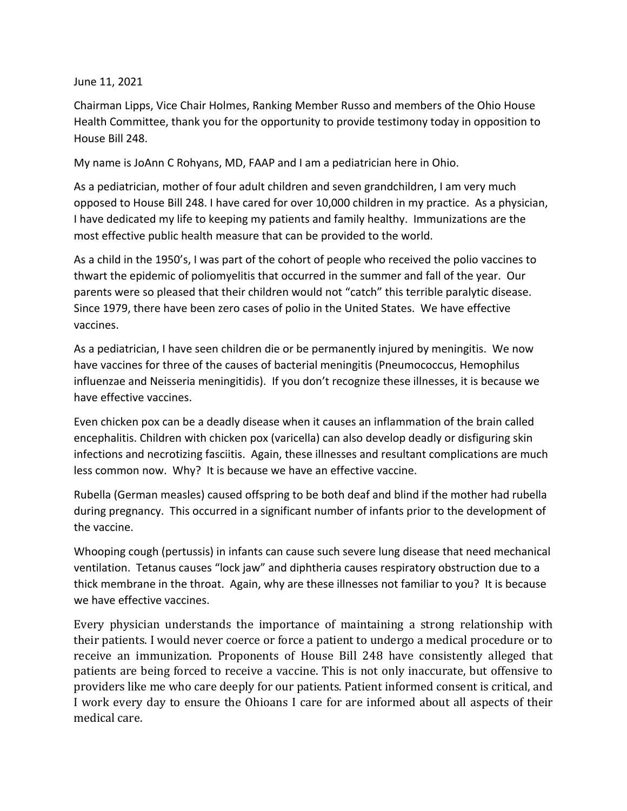## June 11, 2021

Chairman Lipps, Vice Chair Holmes, Ranking Member Russo and members of the Ohio House Health Committee, thank you for the opportunity to provide testimony today in opposition to House Bill 248.

My name is JoAnn C Rohyans, MD, FAAP and I am a pediatrician here in Ohio.

As a pediatrician, mother of four adult children and seven grandchildren, I am very much opposed to House Bill 248. I have cared for over 10,000 children in my practice. As a physician, I have dedicated my life to keeping my patients and family healthy. Immunizations are the most effective public health measure that can be provided to the world.

As a child in the 1950's, I was part of the cohort of people who received the polio vaccines to thwart the epidemic of poliomyelitis that occurred in the summer and fall of the year. Our parents were so pleased that their children would not "catch" this terrible paralytic disease. Since 1979, there have been zero cases of polio in the United States. We have effective vaccines.

As a pediatrician, I have seen children die or be permanently injured by meningitis. We now have vaccines for three of the causes of bacterial meningitis (Pneumococcus, Hemophilus influenzae and Neisseria meningitidis). If you don't recognize these illnesses, it is because we have effective vaccines.

Even chicken pox can be a deadly disease when it causes an inflammation of the brain called encephalitis. Children with chicken pox (varicella) can also develop deadly or disfiguring skin infections and necrotizing fasciitis. Again, these illnesses and resultant complications are much less common now. Why? It is because we have an effective vaccine.

Rubella (German measles) caused offspring to be both deaf and blind if the mother had rubella during pregnancy. This occurred in a significant number of infants prior to the development of the vaccine.

Whooping cough (pertussis) in infants can cause such severe lung disease that need mechanical ventilation. Tetanus causes "lock jaw" and diphtheria causes respiratory obstruction due to a thick membrane in the throat. Again, why are these illnesses not familiar to you? It is because we have effective vaccines.

Every physician understands the importance of maintaining a strong relationship with their patients. I would never coerce or force a patient to undergo a medical procedure or to receive an immunization. Proponents of House Bill 248 have consistently alleged that patients are being forced to receive a vaccine. This is not only inaccurate, but offensive to providers like me who care deeply for our patients. Patient informed consent is critical, and I work every day to ensure the Ohioans I care for are informed about all aspects of their medical care.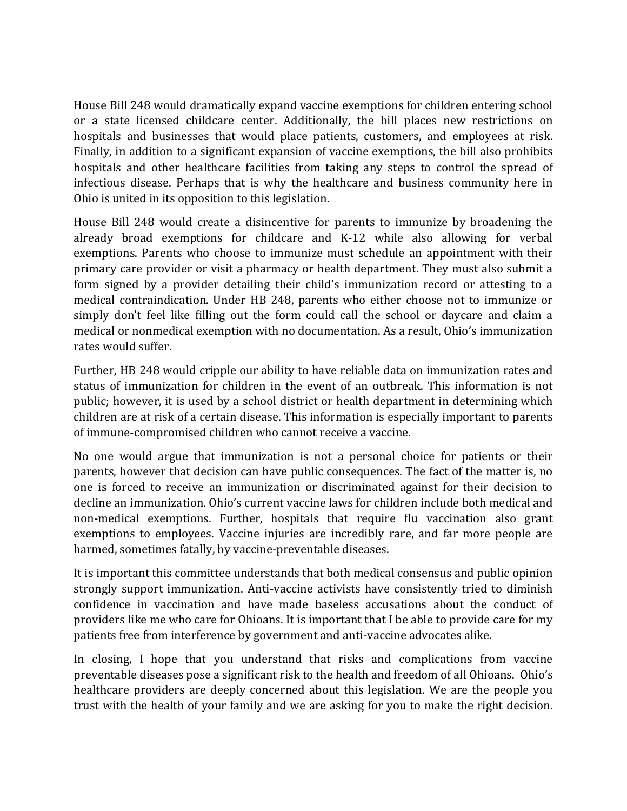House Bill 248 would dramatically expand vaccine exemptions for children entering school or a state licensed childcare center. Additionally, the bill places new restrictions on hospitals and businesses that would place patients, customers, and employees at risk. Finally, in addition to a significant expansion of vaccine exemptions, the bill also prohibits hospitals and other healthcare facilities from taking any steps to control the spread of infectious disease. Perhaps that is why the healthcare and business community here in Ohio is united in its opposition to this legislation.

House Bill 248 would create a disincentive for parents to immunize by broadening the already broad exemptions for childcare and K-12 while also allowing for verbal exemptions. Parents who choose to immunize must schedule an appointment with their primary care provider or visit a pharmacy or health department. They must also submit a form signed by a provider detailing their child's immunization record or attesting to a medical contraindication. Under HB 248, parents who either choose not to immunize or simply don't feel like filling out the form could call the school or daycare and claim a medical or nonmedical exemption with no documentation. As a result, Ohio's immunization rates would suffer.

Further, HB 248 would cripple our ability to have reliable data on immunization rates and status of immunization for children in the event of an outbreak. This information is not public; however, it is used by a school district or health department in determining which children are at risk of a certain disease. This information is especially important to parents of immune-compromised children who cannot receive a vaccine.

No one would argue that immunization is not a personal choice for patients or their parents, however that decision can have public consequences. The fact of the matter is, no one is forced to receive an immunization or discriminated against for their decision to decline an immunization. Ohio's current vaccine laws for children include both medical and non-medical exemptions. Further, hospitals that require flu vaccination also grant exemptions to employees. Vaccine injuries are incredibly rare, and far more people are harmed, sometimes fatally, by vaccine-preventable diseases.

It is important this committee understands that both medical consensus and public opinion strongly support immunization. Anti-vaccine activists have consistently tried to diminish confidence in vaccination and have made baseless accusations about the conduct of providers like me who care for Ohioans. It is important that I be able to provide care for my patients free from interference by government and anti-vaccine advocates alike.

In closing, I hope that you understand that risks and complications from vaccine preventable diseases pose a significant risk to the health and freedom of all Ohioans. Ohio's healthcare providers are deeply concerned about this legislation. We are the people you trust with the health of your family and we are asking for you to make the right decision.